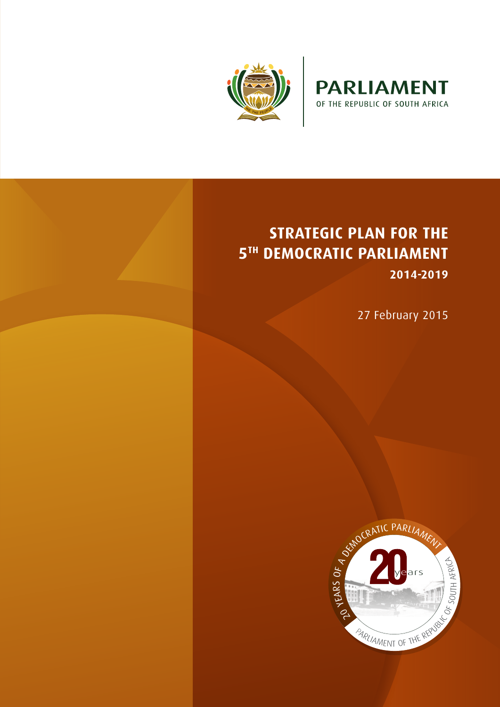



# **STRATEGIC PLAN FOR THE 5TH DEMOCRATIC PARLIAMENT 2014-2019**

27 February 2015

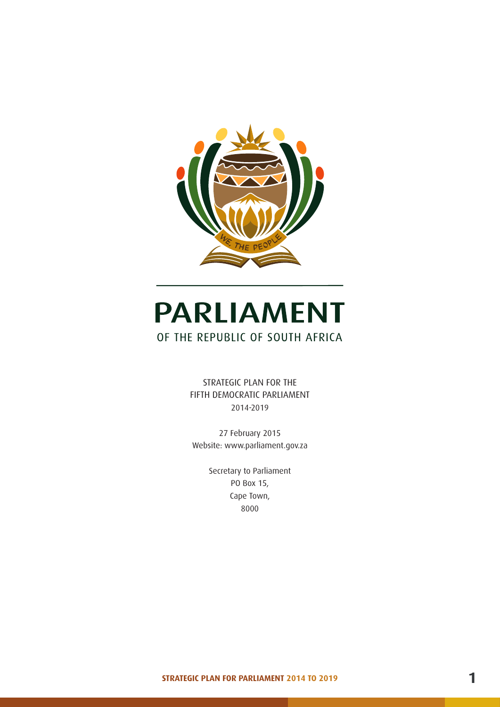

# **PARLIAMENT** OF THE REPUBLIC OF SOUTH AFRICA

STRATEGIC PLAN FOR THE FIFTH DEMOCRATIC PARLIAMENT 2014-2019

27 February 2015 Website: www.parliament.gov.za

> Secretary to Parliament PO Box 15, Cape Town, 8000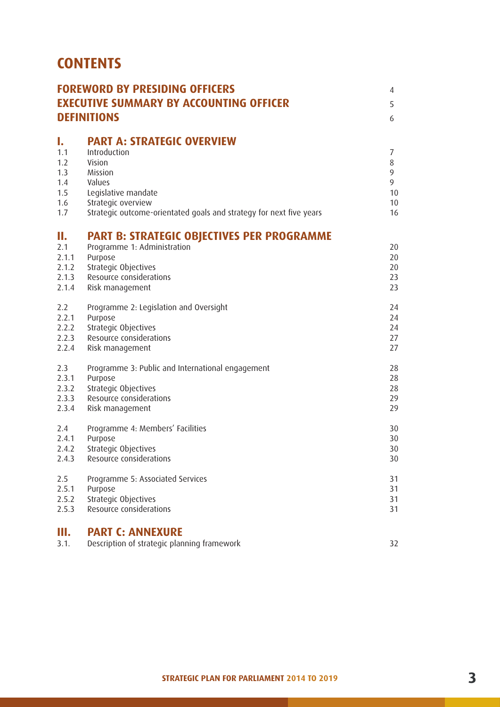# **CONTENTS**

|                                                     | <b>FOREWORD BY PRESIDING OFFICERS</b><br><b>EXECUTIVE SUMMARY BY ACCOUNTING OFFICER</b><br><b>DEFINITIONS</b>                                                                                        |                                    |  |
|-----------------------------------------------------|------------------------------------------------------------------------------------------------------------------------------------------------------------------------------------------------------|------------------------------------|--|
| I.<br>1.1<br>1.2<br>1.3<br>1.4<br>1.5<br>1.6<br>1.7 | <b>PART A: STRATEGIC OVERVIEW</b><br>Introduction<br>Vision<br>Mission<br>Values<br>Legislative mandate<br>Strategic overview<br>Strategic outcome-orientated goals and strategy for next five years | 7<br>8<br>9<br>9<br>10<br>10<br>16 |  |
| П.<br>2.1<br>2.1.1<br>2.1.2<br>2.1.3<br>2.1.4       | <b>PART B: STRATEGIC OBJECTIVES PER PROGRAMME</b><br>Programme 1: Administration<br>Purpose<br>Strategic Objectives<br>Resource considerations<br>Risk management                                    | 20<br>20<br>20<br>23<br>23         |  |
| 2.2                                                 | Programme 2: Legislation and Oversight                                                                                                                                                               | 24                                 |  |
| 2.2.1                                               | Purpose                                                                                                                                                                                              | 24                                 |  |
| 2.2.2                                               | Strategic Objectives                                                                                                                                                                                 | 24                                 |  |
| 2.2.3                                               | Resource considerations                                                                                                                                                                              | 27                                 |  |
| 2.2.4                                               | Risk management                                                                                                                                                                                      | 27                                 |  |
| 2.3                                                 | Programme 3: Public and International engagement                                                                                                                                                     | 28                                 |  |
| 2.3.1                                               | Purpose                                                                                                                                                                                              | 28                                 |  |
| 2.3.2                                               | Strategic Objectives                                                                                                                                                                                 | 28                                 |  |
| 2.3.3                                               | Resource considerations                                                                                                                                                                              | 29                                 |  |
| 2.3.4                                               | Risk management                                                                                                                                                                                      | 29                                 |  |
| 2.4                                                 | Programme 4: Members' Facilities                                                                                                                                                                     | 30                                 |  |
| 2.4.1                                               | Purpose                                                                                                                                                                                              | 30                                 |  |
| 2.4.2                                               | Strategic Objectives                                                                                                                                                                                 | 30                                 |  |
| 2.4.3                                               | Resource considerations                                                                                                                                                                              | 30                                 |  |
| 2.5                                                 | Programme 5: Associated Services                                                                                                                                                                     | 31                                 |  |
| 2.5.1                                               | Purpose                                                                                                                                                                                              | 31                                 |  |
| 2.5.2                                               | Strategic Objectives                                                                                                                                                                                 | 31                                 |  |
| 2.5.3                                               | Resource considerations                                                                                                                                                                              | 31                                 |  |
| Ш.<br>3.1.                                          | <b>PART C: ANNEXURE</b><br>Description of strategic planning framework                                                                                                                               | 32                                 |  |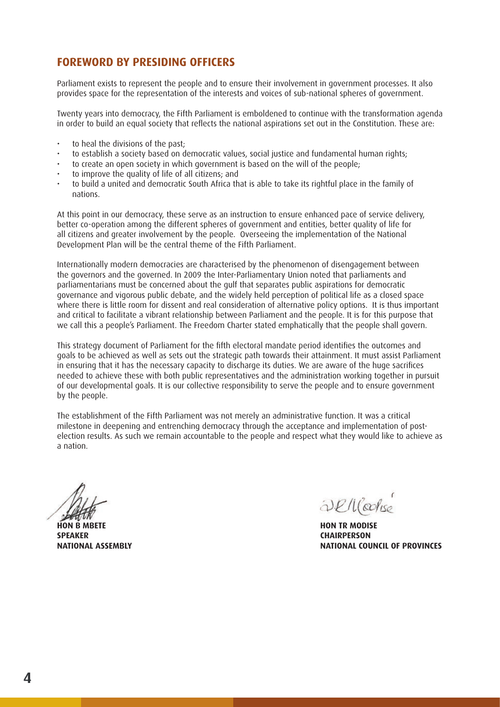### **FOREWORD BY PRESIDING OFFICERS**

Parliament exists to represent the people and to ensure their involvement in government processes. It also provides space for the representation of the interests and voices of sub-national spheres of government.

Twenty years into democracy, the Fifth Parliament is emboldened to continue with the transformation agenda in order to build an equal society that reflects the national aspirations set out in the Constitution. These are:

- to heal the divisions of the past:
- to establish a society based on democratic values, social justice and fundamental human rights;
- to create an open society in which government is based on the will of the people;
- to improve the quality of life of all citizens; and
- to build a united and democratic South Africa that is able to take its rightful place in the family of nations.

At this point in our democracy, these serve as an instruction to ensure enhanced pace of service delivery, better co-operation among the different spheres of government and entities, better quality of life for all citizens and greater involvement by the people. Overseeing the implementation of the National Development Plan will be the central theme of the Fifth Parliament.

Internationally modern democracies are characterised by the phenomenon of disengagement between the governors and the governed. In 2009 the Inter-Parliamentary Union noted that parliaments and parliamentarians must be concerned about the gulf that separates public aspirations for democratic governance and vigorous public debate, and the widely held perception of political life as a closed space where there is little room for dissent and real consideration of alternative policy options. It is thus important and critical to facilitate a vibrant relationship between Parliament and the people. It is for this purpose that we call this a people's Parliament. The Freedom Charter stated emphatically that the people shall govern.

This strategy document of Parliament for the fifth electoral mandate period identifies the outcomes and goals to be achieved as well as sets out the strategic path towards their attainment. It must assist Parliament in ensuring that it has the necessary capacity to discharge its duties. We are aware of the huge sacrifices needed to achieve these with both public representatives and the administration working together in pursuit of our developmental goals. It is our collective responsibility to serve the people and to ensure government by the people.

The establishment of the Fifth Parliament was not merely an administrative function. It was a critical milestone in deepening and entrenching democracy through the acceptance and implementation of postelection results. As such we remain accountable to the people and respect what they would like to achieve as a nation.

**HON B MBETE SPEAKER NATIONAL ASSEMBLY**

*<u><i><u>DEM</u> Coolise*</u>

**HON TR MODISE CHAIRPERSON NATIONAL COUNCIL OF PROVINCES**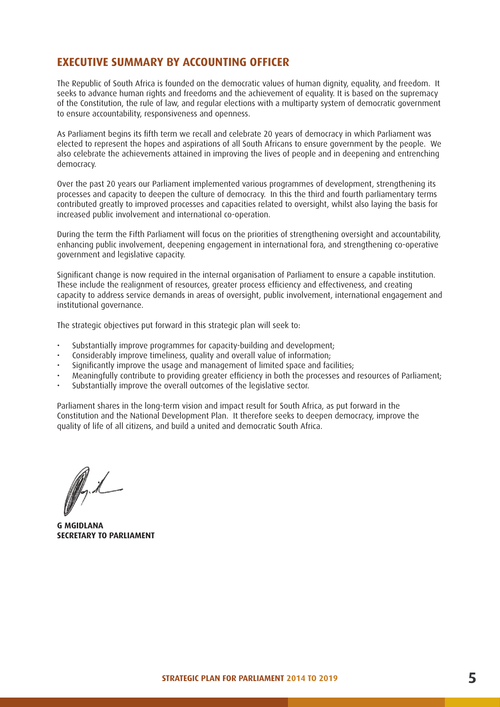#### **EXECUTIVE SUMMARY BY ACCOUNTING OFFICER**

The Republic of South Africa is founded on the democratic values of human dignity, equality, and freedom. It seeks to advance human rights and freedoms and the achievement of equality. It is based on the supremacy of the Constitution, the rule of law, and regular elections with a multiparty system of democratic government to ensure accountability, responsiveness and openness.

As Parliament begins its fifth term we recall and celebrate 20 years of democracy in which Parliament was elected to represent the hopes and aspirations of all South Africans to ensure government by the people. We also celebrate the achievements attained in improving the lives of people and in deepening and entrenching democracy.

Over the past 20 years our Parliament implemented various programmes of development, strengthening its processes and capacity to deepen the culture of democracy. In this the third and fourth parliamentary terms contributed greatly to improved processes and capacities related to oversight, whilst also laying the basis for increased public involvement and international co-operation.

During the term the Fifth Parliament will focus on the priorities of strengthening oversight and accountability, enhancing public involvement, deepening engagement in international fora, and strengthening co-operative government and legislative capacity.

Significant change is now required in the internal organisation of Parliament to ensure a capable institution. These include the realignment of resources, greater process efficiency and effectiveness, and creating capacity to address service demands in areas of oversight, public involvement, international engagement and institutional governance.

The strategic objectives put forward in this strategic plan will seek to:

- Substantially improve programmes for capacity-building and development;
- Considerably improve timeliness, quality and overall value of information;
- Significantly improve the usage and management of limited space and facilities;
- Meaningfully contribute to providing greater efficiency in both the processes and resources of Parliament;
- Substantially improve the overall outcomes of the legislative sector.

Parliament shares in the long-term vision and impact result for South Africa, as put forward in the Constitution and the National Development Plan. It therefore seeks to deepen democracy, improve the quality of life of all citizens, and build a united and democratic South Africa.

Pril

**G MGIDLANA SECRETARY TO PARLIAMENT**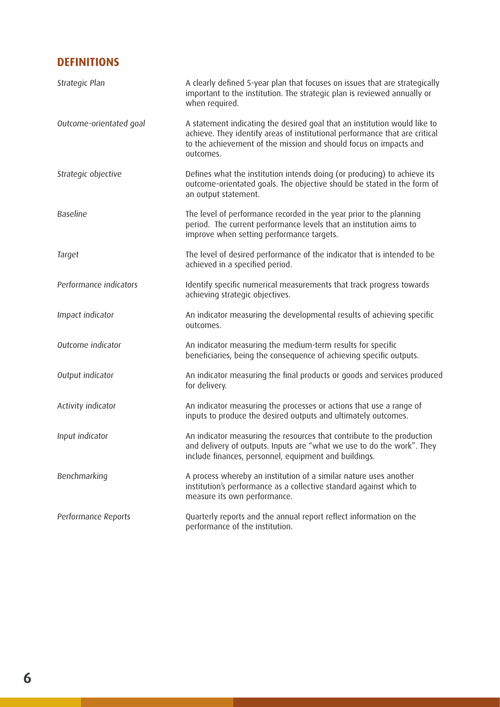# **DEFINITIONS**

| Strategic Plan          | A clearly defined 5-year plan that focuses on issues that are strategically<br>important to the institution. The strategic plan is reviewed annually or<br>when required.                                                                  |
|-------------------------|--------------------------------------------------------------------------------------------------------------------------------------------------------------------------------------------------------------------------------------------|
| Outcome-orientated goal | A statement indicating the desired goal that an institution would like to<br>achieve. They identify areas of institutional performance that are critical<br>to the achievement of the mission and should focus on impacts and<br>outcomes. |
| Strategic objective     | Defines what the institution intends doing (or producing) to achieve its<br>outcome-orientated goals. The objective should be stated in the form of<br>an output statement.                                                                |
| <b>Baseline</b>         | The level of performance recorded in the year prior to the planning<br>period. The current performance levels that an institution aims to<br>improve when setting performance targets.                                                     |
| Target                  | The level of desired performance of the indicator that is intended to be<br>achieved in a specified period.                                                                                                                                |
| Performance indicators  | Identify specific numerical measurements that track progress towards<br>achieving strategic objectives.                                                                                                                                    |
| Impact indicator        | An indicator measuring the developmental results of achieving specific<br>outcomes.                                                                                                                                                        |
| Outcome indicator       | An indicator measuring the medium-term results for specific<br>beneficiaries, being the consequence of achieving specific outputs.                                                                                                         |
| Output indicator        | An indicator measuring the final products or goods and services produced<br>for delivery.                                                                                                                                                  |
| Activity indicator      | An indicator measuring the processes or actions that use a range of<br>inputs to produce the desired outputs and ultimately outcomes.                                                                                                      |
| Input indicator         | An indicator measuring the resources that contribute to the production<br>and delivery of outputs. Inputs are "what we use to do the work". They<br>include finances, personnel, equipment and buildings.                                  |
| Benchmarking            | A process whereby an institution of a similar nature uses another<br>institution's performance as a collective standard against which to<br>measure its own performance.                                                                   |
| Performance Reports     | Quarterly reports and the annual report reflect information on the<br>performance of the institution.                                                                                                                                      |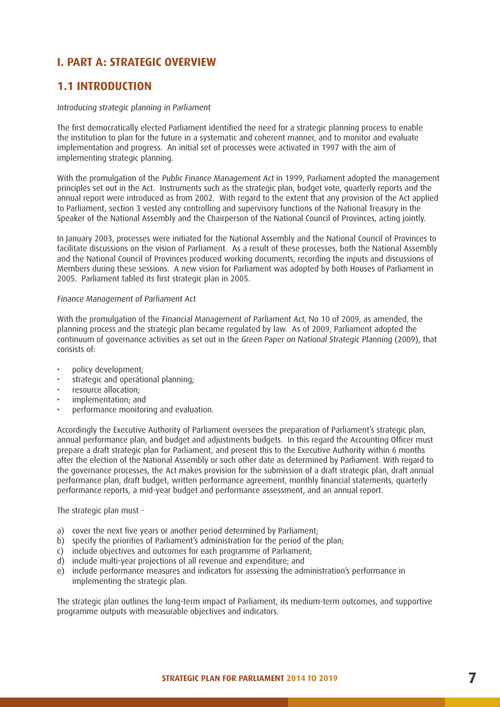# **I. PART A: STRATEGIC OVERVIEW**

### **1.1 INTRODUCTION**

#### Introducing strategic planning in Parliament

The first democratically elected Parliament identified the need for a strategic planning process to enable the institution to plan for the future in a systematic and coherent manner, and to monitor and evaluate implementation and progress. An initial set of processes were activated in 1997 with the aim of implementing strategic planning.

With the promulgation of the Public Finance Management Act in 1999, Parliament adopted the management principles set out in the Act. Instruments such as the strategic plan, budget vote, quarterly reports and the annual report were introduced as from 2002. With regard to the extent that any provision of the Act applied to Parliament, section 3 vested any controlling and supervisory functions of the National Treasury in the Speaker of the National Assembly and the Chairperson of the National Council of Provinces, acting jointly.

In January 2003, processes were initiated for the National Assembly and the National Council of Provinces to facilitate discussions on the vision of Parliament. As a result of these processes, both the National Assembly and the National Council of Provinces produced working documents, recording the inputs and discussions of Members during these sessions. A new vision for Parliament was adopted by both Houses of Parliament in 2005. Parliament tabled its first strategic plan in 2005.

#### Finance Management of Parliament Act

With the promulgation of the Financial Management of Parliament Act, No 10 of 2009, as amended, the planning process and the strategic plan became regulated by law. As of 2009, Parliament adopted the continuum of governance activities as set out in the Green Paper on National Strategic Planning (2009), that consists of:

- policy development;
- strategic and operational planning;
- resource allocation;
- implementation; and
- performance monitoring and evaluation.

Accordingly the Executive Authority of Parliament oversees the preparation of Parliament's strategic plan, annual performance plan, and budget and adjustments budgets. In this regard the Accounting Officer must prepare a draft strategic plan for Parliament, and present this to the Executive Authority within 6 months after the election of the National Assembly or such other date as determined by Parliament. With regard to the governance processes, the Act makes provision for the submission of a draft strategic plan, draft annual performance plan, draft budget, written performance agreement, monthly financial statements, quarterly performance reports, a mid-year budget and performance assessment, and an annual report.

The strategic plan must -

- a) cover the next five years or another period determined by Parliament;
- b) specify the priorities of Parliament's administration for the period of the plan;
- c) include objectives and outcomes for each programme of Parliament;
- d) include multi-year projections of all revenue and expenditure; and
- e) include performance measures and indicators for assessing the administration's performance in implementing the strategic plan.

The strategic plan outlines the long-term impact of Parliament, its medium-term outcomes, and supportive programme outputs with measurable objectives and indicators.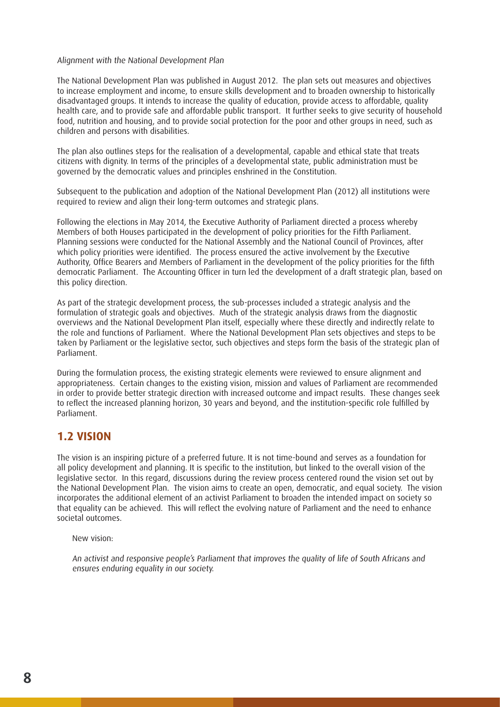#### Alignment with the National Development Plan

The National Development Plan was published in August 2012. The plan sets out measures and objectives to increase employment and income, to ensure skills development and to broaden ownership to historically disadvantaged groups. It intends to increase the quality of education, provide access to affordable, quality health care, and to provide safe and affordable public transport. It further seeks to give security of household food, nutrition and housing, and to provide social protection for the poor and other groups in need, such as children and persons with disabilities.

The plan also outlines steps for the realisation of a developmental, capable and ethical state that treats citizens with dignity. In terms of the principles of a developmental state, public administration must be governed by the democratic values and principles enshrined in the Constitution.

Subsequent to the publication and adoption of the National Development Plan (2012) all institutions were required to review and align their long-term outcomes and strategic plans.

Following the elections in May 2014, the Executive Authority of Parliament directed a process whereby Members of both Houses participated in the development of policy priorities for the Fifth Parliament. Planning sessions were conducted for the National Assembly and the National Council of Provinces, after which policy priorities were identified. The process ensured the active involvement by the Executive Authority, Office Bearers and Members of Parliament in the development of the policy priorities for the fifth democratic Parliament. The Accounting Officer in turn led the development of a draft strategic plan, based on this policy direction.

As part of the strategic development process, the sub-processes included a strategic analysis and the formulation of strategic goals and objectives. Much of the strategic analysis draws from the diagnostic overviews and the National Development Plan itself, especially where these directly and indirectly relate to the role and functions of Parliament. Where the National Development Plan sets objectives and steps to be taken by Parliament or the legislative sector, such objectives and steps form the basis of the strategic plan of Parliament.

During the formulation process, the existing strategic elements were reviewed to ensure alignment and appropriateness. Certain changes to the existing vision, mission and values of Parliament are recommended in order to provide better strategic direction with increased outcome and impact results. These changes seek to reflect the increased planning horizon, 30 years and beyond, and the institution-specific role fulfilled by Parliament.

#### **1.2 VISION**

The vision is an inspiring picture of a preferred future. It is not time-bound and serves as a foundation for all policy development and planning. It is specific to the institution, but linked to the overall vision of the legislative sector. In this regard, discussions during the review process centered round the vision set out by the National Development Plan. The vision aims to create an open, democratic, and equal society. The vision incorporates the additional element of an activist Parliament to broaden the intended impact on society so that equality can be achieved. This will reflect the evolving nature of Parliament and the need to enhance societal outcomes.

New vision:

An activist and responsive people's Parliament that improves the quality of life of South Africans and ensures enduring equality in our society.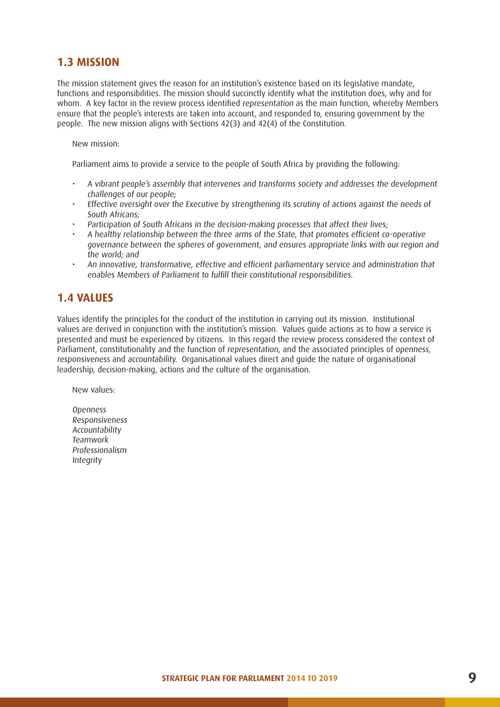### **1.3 MISSION**

The mission statement gives the reason for an institution's existence based on its legislative mandate, functions and responsibilities. The mission should succinctly identify what the institution does, why and for whom. A key factor in the review process identified representation as the main function, whereby Members ensure that the people's interests are taken into account, and responded to, ensuring government by the people. The new mission aligns with Sections 42(3) and 42(4) of the Constitution.

New mission:

Parliament aims to provide a service to the people of South Africa by providing the following:

- A vibrant people's assembly that intervenes and transforms society and addresses the development challenges of our people;
- Effective oversight over the Executive by strengthening its scrutiny of actions against the needs of South Africans;
- Participation of South Africans in the decision-making processes that affect their lives;
- A healthy relationship between the three arms of the State, that promotes efficient co-operative governance between the spheres of government, and ensures appropriate links with our region and the world; and
- An innovative, transformative, effective and efficient parliamentary service and administration that enables Members of Parliament to fulfill their constitutional responsibilities.

# **1.4 VALUES**

Values identify the principles for the conduct of the institution in carrying out its mission. Institutional values are derived in conjunction with the institution's mission. Values guide actions as to how a service is presented and must be experienced by citizens. In this regard the review process considered the context of Parliament, constitutionality and the function of representation, and the associated principles of openness, responsiveness and accountability. Organisational values direct and guide the nature of organisational leadership, decision-making, actions and the culture of the organisation.

New values:

Openness Responsiveness Accountability Teamwork Professionalism Integrity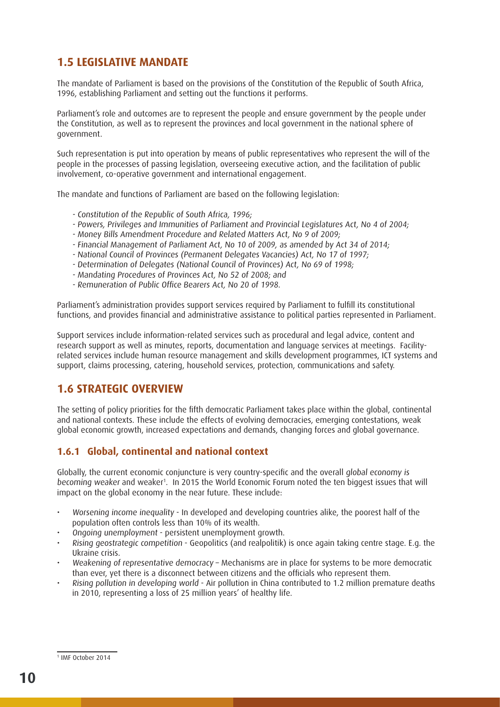# **1.5 LEGISLATIVE MANDATE**

The mandate of Parliament is based on the provisions of the Constitution of the Republic of South Africa, 1996, establishing Parliament and setting out the functions it performs.

Parliament's role and outcomes are to represent the people and ensure government by the people under the Constitution, as well as to represent the provinces and local government in the national sphere of government.

Such representation is put into operation by means of public representatives who represent the will of the people in the processes of passing legislation, overseeing executive action, and the facilitation of public involvement, co-operative government and international engagement.

The mandate and functions of Parliament are based on the following legislation:

- Constitution of the Republic of South Africa, 1996;
- Powers, Privileges and Immunities of Parliament and Provincial Legislatures Act, No 4 of 2004;
- Money Bills Amendment Procedure and Related Matters Act, No 9 of 2009;
- Financial Management of Parliament Act, No 10 of 2009, as amended by Act 34 of 2014;
- National Council of Provinces (Permanent Delegates Vacancies) Act, No 17 of 1997;
- Determination of Delegates (National Council of Provinces) Act, No 69 of 1998;
- Mandating Procedures of Provinces Act, No 52 of 2008; and
- Remuneration of Public Office Bearers Act, No 20 of 1998.

Parliament's administration provides support services required by Parliament to fulfill its constitutional functions, and provides financial and administrative assistance to political parties represented in Parliament.

Support services include information-related services such as procedural and legal advice, content and research support as well as minutes, reports, documentation and language services at meetings. Facilityrelated services include human resource management and skills development programmes, ICT systems and support, claims processing, catering, household services, protection, communications and safety.

### **1.6 STRATEGIC OVERVIEW**

The setting of policy priorities for the fifth democratic Parliament takes place within the global, continental and national contexts. These include the effects of evolving democracies, emerging contestations, weak global economic growth, increased expectations and demands, changing forces and global governance.

#### **1.6.1 Global, continental and national context**

Globally, the current economic conjuncture is very country-specific and the overall global economy is becoming weaker and weaker<sup>1</sup>. In 2015 the World Economic Forum noted the ten biggest issues that will impact on the global economy in the near future. These include:

- Worsening income inequality In developed and developing countries alike, the poorest half of the population often controls less than 10% of its wealth.
- Ongoing unemployment persistent unemployment growth.
- Rising geostrategic competition Geopolitics (and realpolitik) is once again taking centre stage. E.g. the Ukraine crisis.
- Weakening of representative democracy Mechanisms are in place for systems to be more democratic than ever, yet there is a disconnect between citizens and the officials who represent them.
- Rising pollution in developing world Air pollution in China contributed to 1.2 million premature deaths in 2010, representing a loss of 25 million years' of healthy life.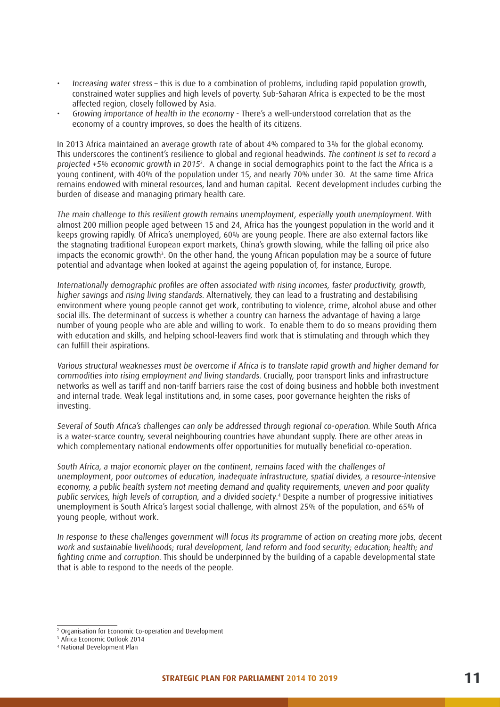- Increasing water stress this is due to a combination of problems, including rapid population growth, constrained water supplies and high levels of poverty. Sub-Saharan Africa is expected to be the most affected region, closely followed by Asia.
- Growing importance of health in the economy There's a well-understood correlation that as the economy of a country improves, so does the health of its citizens.

In 2013 Africa maintained an average growth rate of about 4% compared to 3% for the global economy. This underscores the continent's resilience to global and regional headwinds. The continent is set to record a projected +5% economic growth in 2015<sup>2</sup> . A change in social demographics point to the fact the Africa is a young continent, with 40% of the population under 15, and nearly 70% under 30. At the same time Africa remains endowed with mineral resources, land and human capital. Recent development includes curbing the burden of disease and managing primary health care.

The main challenge to this resilient growth remains unemployment, especially youth unemployment. With almost 200 million people aged between 15 and 24, Africa has the youngest population in the world and it keeps growing rapidly. Of Africa's unemployed, 60% are young people. There are also external factors like the stagnating traditional European export markets, China's growth slowing, while the falling oil price also impacts the economic growth3 . On the other hand, the young African population may be a source of future potential and advantage when looked at against the ageing population of, for instance, Europe.

Internationally demographic profiles are often associated with rising incomes, faster productivity, growth, higher savings and rising living standards. Alternatively, they can lead to a frustrating and destabilising environment where young people cannot get work, contributing to violence, crime, alcohol abuse and other social ills. The determinant of success is whether a country can harness the advantage of having a large number of young people who are able and willing to work. To enable them to do so means providing them with education and skills, and helping school-leavers find work that is stimulating and through which they can fulfill their aspirations.

Various structural weaknesses must be overcome if Africa is to translate rapid growth and higher demand for commodities into rising employment and living standards. Crucially, poor transport links and infrastructure networks as well as tariff and non-tariff barriers raise the cost of doing business and hobble both investment and internal trade. Weak legal institutions and, in some cases, poor governance heighten the risks of investing.

Several of South Africa's challenges can only be addressed through regional co-operation. While South Africa is a water-scarce country, several neighbouring countries have abundant supply. There are other areas in which complementary national endowments offer opportunities for mutually beneficial co-operation.

South Africa, a major economic player on the continent, remains faced with the challenges of unemployment, poor outcomes of education, inadequate infrastructure, spatial divides, a resource-intensive economy, a public health system not meeting demand and quality requirements, uneven and poor quality public services, high levels of corruption, and a divided society. 4 Despite a number of progressive initiatives unemployment is South Africa's largest social challenge, with almost 25% of the population, and 65% of young people, without work.

In response to these challenges government will focus its programme of action on creating more jobs, decent work and sustainable livelihoods; rural development, land reform and food security; education; health; and fighting crime and corruption. This should be underpinned by the building of a capable developmental state that is able to respond to the needs of the people.

<sup>2</sup> Organisation for Economic Co-operation and Development

<sup>3</sup> Africa Economic Outlook 2014

<sup>4</sup> National Development Plan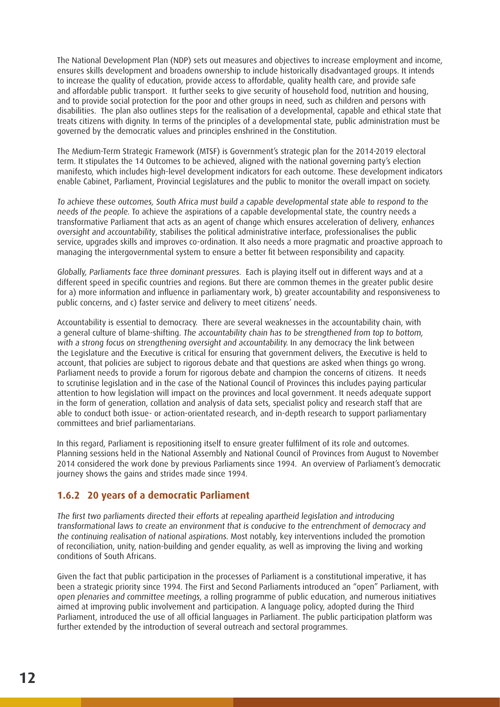The National Development Plan (NDP) sets out measures and objectives to increase employment and income, ensures skills development and broadens ownership to include historically disadvantaged groups. It intends to increase the quality of education, provide access to affordable, quality health care, and provide safe and affordable public transport. It further seeks to give security of household food, nutrition and housing, and to provide social protection for the poor and other groups in need, such as children and persons with disabilities. The plan also outlines steps for the realisation of a developmental, capable and ethical state that treats citizens with dignity. In terms of the principles of a developmental state, public administration must be governed by the democratic values and principles enshrined in the Constitution.

The Medium-Term Strategic Framework (MTSF) is Government's strategic plan for the 2014-2019 electoral term. It stipulates the 14 Outcomes to be achieved, aligned with the national governing party's election manifesto, which includes high-level development indicators for each outcome. These development indicators enable Cabinet, Parliament, Provincial Legislatures and the public to monitor the overall impact on society.

To achieve these outcomes, South Africa must build a capable developmental state able to respond to the needs of the people. To achieve the aspirations of a capable developmental state, the country needs a transformative Parliament that acts as an agent of change which ensures acceleration of delivery, enhances oversight and accountability, stabilises the political administrative interface, professionalises the public service, upgrades skills and improves co-ordination. It also needs a more pragmatic and proactive approach to managing the intergovernmental system to ensure a better fit between responsibility and capacity.

Globally, Parliaments face three dominant pressures. Each is playing itself out in different ways and at a different speed in specific countries and regions. But there are common themes in the greater public desire for a) more information and influence in parliamentary work, b) greater accountability and responsiveness to public concerns, and c) faster service and delivery to meet citizens' needs.

Accountability is essential to democracy. There are several weaknesses in the accountability chain, with a general culture of blame-shifting. The accountability chain has to be strengthened from top to bottom, with a strong focus on strengthening oversight and accountability. In any democracy the link between the Legislature and the Executive is critical for ensuring that government delivers, the Executive is held to account, that policies are subiect to rigorous debate and that questions are asked when things go wrong. Parliament needs to provide a forum for rigorous debate and champion the concerns of citizens. It needs to scrutinise legislation and in the case of the National Council of Provinces this includes paying particular attention to how legislation will impact on the provinces and local government. It needs adequate support in the form of generation, collation and analysis of data sets, specialist policy and research staff that are able to conduct both issue- or action-orientated research, and in-depth research to support parliamentary committees and brief parliamentarians.

In this regard, Parliament is repositioning itself to ensure greater fulfilment of its role and outcomes. Planning sessions held in the National Assembly and National Council of Provinces from August to November 2014 considered the work done by previous Parliaments since 1994. An overview of Parliament's democratic journey shows the gains and strides made since 1994.

#### **1.6.2 20 years of a democratic Parliament**

The first two parliaments directed their efforts at repealing apartheid legislation and introducing transformational laws to create an environment that is conducive to the entrenchment of democracy and the continuing realisation of national aspirations. Most notably, key interventions included the promotion of reconciliation, unity, nation-building and gender equality, as well as improving the living and working conditions of South Africans.

Given the fact that public participation in the processes of Parliament is a constitutional imperative, it has been a strategic priority since 1994. The First and Second Parliaments introduced an "open" Parliament, with open plenaries and committee meetings, a rolling programme of public education, and numerous initiatives aimed at improving public involvement and participation. A language policy, adopted during the Third Parliament, introduced the use of all official languages in Parliament. The public participation platform was further extended by the introduction of several outreach and sectoral programmes.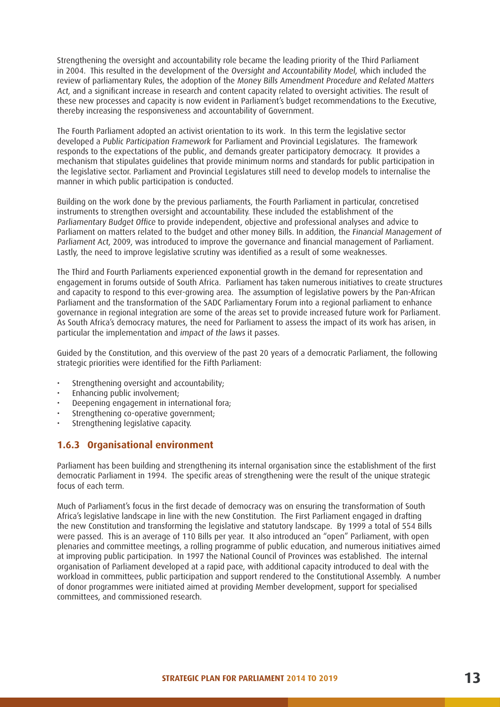Strengthening the oversight and accountability role became the leading priority of the Third Parliament in 2004. This resulted in the development of the Oversight and Accountability Model, which included the review of parliamentary Rules, the adoption of the Money Bills Amendment Procedure and Related Matters Act, and a significant increase in research and content capacity related to oversight activities. The result of these new processes and capacity is now evident in Parliament's budget recommendations to the Executive, thereby increasing the responsiveness and accountability of Government.

The Fourth Parliament adopted an activist orientation to its work. In this term the legislative sector developed a Public Participation Framework for Parliament and Provincial Legislatures. The framework responds to the expectations of the public, and demands greater participatory democracy. It provides a mechanism that stipulates guidelines that provide minimum norms and standards for public participation in the legislative sector. Parliament and Provincial Legislatures still need to develop models to internalise the manner in which public participation is conducted.

Building on the work done by the previous parliaments, the Fourth Parliament in particular, concretised instruments to strengthen oversight and accountability. These included the establishment of the Parliamentary Budget Office to provide independent, objective and professional analyses and advice to Parliament on matters related to the budget and other money Bills. In addition, the Financial Management of Parliament Act, 2009, was introduced to improve the governance and financial management of Parliament. Lastly, the need to improve legislative scrutiny was identified as a result of some weaknesses.

The Third and Fourth Parliaments experienced exponential growth in the demand for representation and engagement in forums outside of South Africa. Parliament has taken numerous initiatives to create structures and capacity to respond to this ever-growing area. The assumption of legislative powers by the Pan-African Parliament and the transformation of the SADC Parliamentary Forum into a regional parliament to enhance governance in regional integration are some of the areas set to provide increased future work for Parliament. As South Africa's democracy matures, the need for Parliament to assess the impact of its work has arisen, in particular the implementation and impact of the laws it passes.

Guided by the Constitution, and this overview of the past 20 years of a democratic Parliament, the following strategic priorities were identified for the Fifth Parliament:

- Strengthening oversight and accountability;
- Enhancing public involvement;
- Deepening engagement in international fora;
- Strengthening co-operative government;
- Strengthening legislative capacity.

#### **1.6.3 Organisational environment**

Parliament has been building and strengthening its internal organisation since the establishment of the first democratic Parliament in 1994. The specific areas of strengthening were the result of the unique strategic focus of each term.

Much of Parliament's focus in the first decade of democracy was on ensuring the transformation of South Africa's legislative landscape in line with the new Constitution. The First Parliament engaged in drafting the new Constitution and transforming the legislative and statutory landscape. By 1999 a total of 554 Bills were passed. This is an average of 110 Bills per year. It also introduced an "open" Parliament, with open plenaries and committee meetings, a rolling programme of public education, and numerous initiatives aimed at improving public participation. In 1997 the National Council of Provinces was established. The internal organisation of Parliament developed at a rapid pace, with additional capacity introduced to deal with the workload in committees, public participation and support rendered to the Constitutional Assembly. A number of donor programmes were initiated aimed at providing Member development, support for specialised committees, and commissioned research.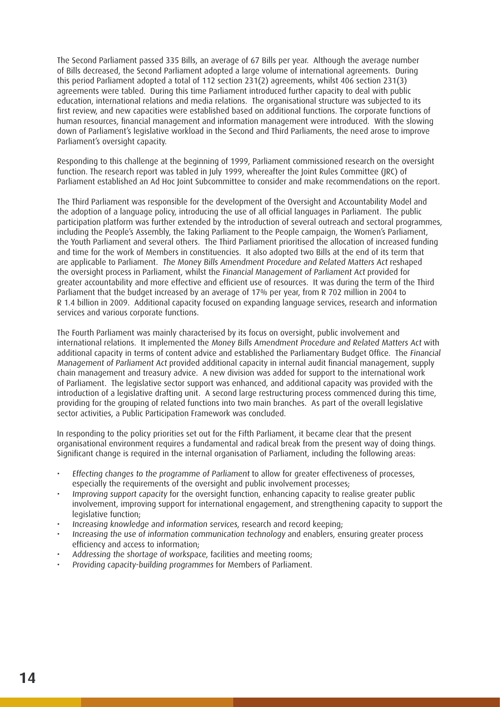The Second Parliament passed 335 Bills, an average of 67 Bills per year. Although the average number of Bills decreased, the Second Parliament adopted a large volume of international agreements. During this period Parliament adopted a total of 112 section 231(2) agreements, whilst 406 section 231(3) agreements were tabled. During this time Parliament introduced further capacity to deal with public education, international relations and media relations. The organisational structure was subjected to its first review, and new capacities were established based on additional functions. The corporate functions of human resources, financial management and information management were introduced. With the slowing down of Parliament's legislative workload in the Second and Third Parliaments, the need arose to improve Parliament's oversight capacity.

Responding to this challenge at the beginning of 1999, Parliament commissioned research on the oversight function. The research report was tabled in July 1999, whereafter the Joint Rules Committee (JRC) of Parliament established an Ad Hoc Joint Subcommittee to consider and make recommendations on the report.

The Third Parliament was responsible for the development of the Oversight and Accountability Model and the adoption of a language policy, introducing the use of all official languages in Parliament. The public participation platform was further extended by the introduction of several outreach and sectoral programmes, including the People's Assembly, the Taking Parliament to the People campaign, the Women's Parliament, the Youth Parliament and several others. The Third Parliament prioritised the allocation of increased funding and time for the work of Members in constituencies. It also adopted two Bills at the end of its term that are applicable to Parliament. The Money Bills Amendment Procedure and Related Matters Act reshaped the oversight process in Parliament, whilst the Financial Management of Parliament Act provided for greater accountability and more effective and efficient use of resources. It was during the term of the Third Parliament that the budget increased by an average of 17% per year, from R 702 million in 2004 to R 1.4 billion in 2009. Additional capacity focused on expanding language services, research and information services and various corporate functions.

The Fourth Parliament was mainly characterised by its focus on oversight, public involvement and international relations. It implemented the Money Bills Amendment Procedure and Related Matters Act with additional capacity in terms of content advice and established the Parliamentary Budget Office. The Financial Management of Parliament Act provided additional capacity in internal audit financial management, supply chain management and treasury advice. A new division was added for support to the international work of Parliament. The legislative sector support was enhanced, and additional capacity was provided with the introduction of a legislative drafting unit. A second large restructuring process commenced during this time, providing for the grouping of related functions into two main branches. As part of the overall legislative sector activities, a Public Participation Framework was concluded.

In responding to the policy priorities set out for the Fifth Parliament, it became clear that the present organisational environment requires a fundamental and radical break from the present way of doing things. Significant change is required in the internal organisation of Parliament, including the following areas:

- Effecting changes to the programme of Parliament to allow for greater effectiveness of processes, especially the requirements of the oversight and public involvement processes:
- Improving support capacity for the oversight function, enhancing capacity to realise greater public involvement, improving support for international engagement, and strengthening capacity to support the legislative function:
- Increasing knowledge and information services, research and record keeping;
- Increasing the use of information communication technology and enablers, ensuring greater process efficiency and access to information;
- Addressing the shortage of workspace, facilities and meeting rooms;
- Providing capacity-building programmes for Members of Parliament.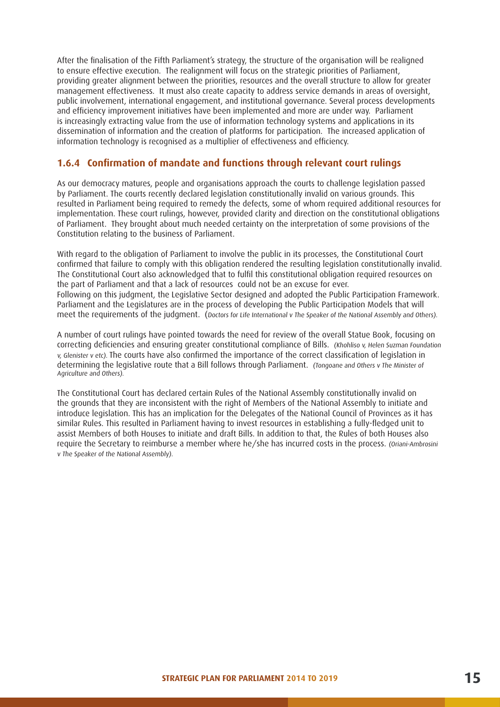After the finalisation of the Fifth Parliament's strategy, the structure of the organisation will be realigned to ensure effective execution. The realignment will focus on the strategic priorities of Parliament, providing greater alignment between the priorities, resources and the overall structure to allow for greater management effectiveness. It must also create capacity to address service demands in areas of oversight, public involvement, international engagement, and institutional governance. Several process developments and efficiency improvement initiatives have been implemented and more are under way. Parliament is increasingly extracting value from the use of information technology systems and applications in its dissemination of information and the creation of platforms for participation. The increased application of information technology is recognised as a multiplier of effectiveness and efficiency.

#### **1.6.4 Confirmation of mandate and functions through relevant court rulings**

As our democracy matures, people and organisations approach the courts to challenge legislation passed by Parliament. The courts recently declared legislation constitutionally invalid on various grounds. This resulted in Parliament being required to remedy the defects, some of whom required additional resources for implementation. These court rulings, however, provided clarity and direction on the constitutional obligations of Parliament. They brought about much needed certainty on the interpretation of some provisions of the Constitution relating to the business of Parliament.

With regard to the obligation of Parliament to involve the public in its processes, the Constitutional Court confirmed that failure to comply with this obligation rendered the resulting legislation constitutionally invalid. The Constitutional Court also acknowledged that to fulfil this constitutional obligation required resources on the part of Parliament and that a lack of resources could not be an excuse for ever. Following on this judgment, the Legislative Sector designed and adopted the Public Participation Framework. Parliament and the Legislatures are in the process of developing the Public Participation Models that will meet the requirements of the judgment. (Doctors for Life International v The Speaker of the National Assembly and Others).

A number of court rulings have pointed towards the need for review of the overall Statue Book, focusing on correcting deficiencies and ensuring greater constitutional compliance of Bills. (Khohliso v, Helen Suzman Foundation v, Glenister v etc). The courts have also confirmed the importance of the correct classification of legislation in determining the legislative route that a Bill follows through Parliament. (Tongoane and Others v The Minister of Agriculture and Others).

The Constitutional Court has declared certain Rules of the National Assembly constitutionally invalid on the grounds that they are inconsistent with the right of Members of the National Assembly to initiate and introduce legislation. This has an implication for the Delegates of the National Council of Provinces as it has similar Rules. This resulted in Parliament having to invest resources in establishing a fully-fledged unit to assist Members of both Houses to initiate and draft Bills. In addition to that, the Rules of both Houses also require the Secretary to reimburse a member where he/she has incurred costs in the process. (Oriani-Ambrosini) v The Speaker of the National Assembly).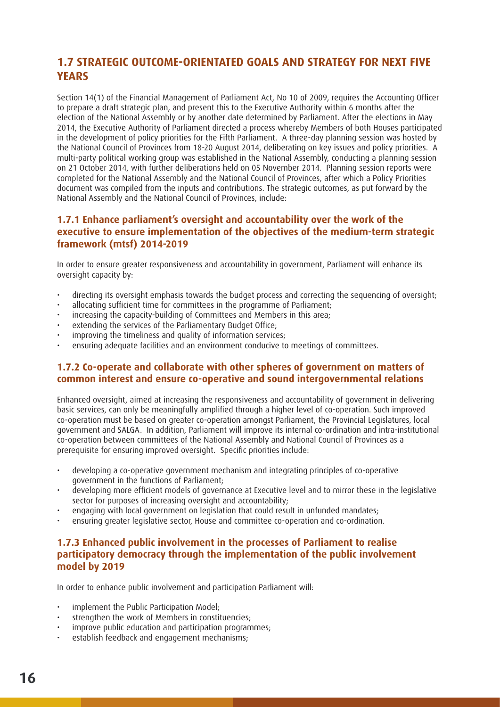### **1.7 STRATEGIC OUTCOME-ORIENTATED GOALS AND STRATEGY FOR NEXT FIVE YEARS**

Section 14(1) of the Financial Management of Parliament Act, No 10 of 2009, requires the Accounting Officer to prepare a draft strategic plan, and present this to the Executive Authority within 6 months after the election of the National Assembly or by another date determined by Parliament. After the elections in May 2014, the Executive Authority of Parliament directed a process whereby Members of both Houses participated in the development of policy priorities for the Fifth Parliament. A three-day planning session was hosted by the National Council of Provinces from 18-20 August 2014, deliberating on key issues and policy priorities. A multi-party political working group was established in the National Assembly, conducting a planning session on 21 October 2014, with further deliberations held on 05 November 2014. Planning session reports were completed for the National Assembly and the National Council of Provinces, after which a Policy Priorities document was compiled from the inputs and contributions. The strategic outcomes, as put forward by the National Assembly and the National Council of Provinces, include:

#### **1.7.1 Enhance parliament's oversight and accountability over the work of the executive to ensure implementation of the objectives of the medium-term strategic framework (mtsf) 2014-2019**

In order to ensure greater responsiveness and accountability in government, Parliament will enhance its oversight capacity by:

- directing its oversight emphasis towards the budget process and correcting the sequencing of oversight;
- allocating sufficient time for committees in the programme of Parliament;
- increasing the capacity-building of Committees and Members in this area;
- extending the services of the Parliamentary Budget Office;
- improving the timeliness and quality of information services:
- ensuring adequate facilities and an environment conducive to meetings of committees.

#### **1.7.2 Co-operate and collaborate with other spheres of government on matters of common interest and ensure co-operative and sound intergovernmental relations**

Enhanced oversight, aimed at increasing the responsiveness and accountability of government in delivering basic services, can only be meaningfully amplified through a higher level of co-operation. Such improved co-operation must be based on greater co-operation amongst Parliament, the Provincial Legislatures, local government and SALGA. In addition, Parliament will improve its internal co-ordination and intra-institutional co-operation between committees of the National Assembly and National Council of Provinces as a prerequisite for ensuring improved oversight. Specific priorities include:

- developing a co-operative government mechanism and integrating principles of co-operative government in the functions of Parliament;
- developing more efficient models of governance at Executive level and to mirror these in the legislative sector for purposes of increasing oversight and accountability;
- engaging with local government on legislation that could result in unfunded mandates;
- ensuring greater legislative sector, House and committee co-operation and co-ordination.

#### **1.7.3 Enhanced public involvement in the processes of Parliament to realise participatory democracy through the implementation of the public involvement model by 2019**

In order to enhance public involvement and participation Parliament will:

- implement the Public Participation Model:
- strengthen the work of Members in constituencies:
- improve public education and participation programmes:
- establish feedback and engagement mechanisms;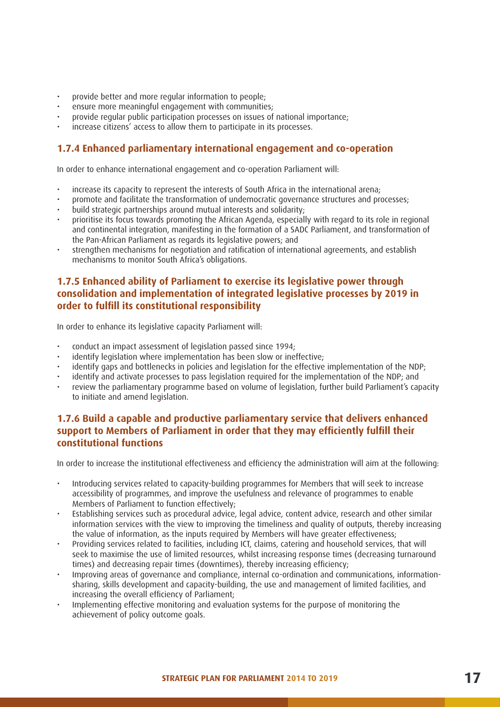- provide better and more regular information to people;
- ensure more meaningful engagement with communities;
- provide regular public participation processes on issues of national importance;
- increase citizens' access to allow them to participate in its processes.

#### **1.7.4 Enhanced parliamentary international engagement and co-operation**

In order to enhance international engagement and co-operation Parliament will:

- increase its capacity to represent the interests of South Africa in the international arena;
- promote and facilitate the transformation of undemocratic governance structures and processes;
- build strategic partnerships around mutual interests and solidarity;
- prioritise its focus towards promoting the African Agenda, especially with regard to its role in regional and continental integration, manifesting in the formation of a SADC Parliament, and transformation of the Pan-African Parliament as regards its legislative powers; and
- strengthen mechanisms for negotiation and ratification of international agreements, and establish mechanisms to monitor South Africa's obligations.

#### **1.7.5 Enhanced ability of Parliament to exercise its legislative power through consolidation and implementation of integrated legislative processes by 2019 in order to fulfill its constitutional responsibility**

In order to enhance its legislative capacity Parliament will:

- conduct an impact assessment of legislation passed since 1994;
- identify legislation where implementation has been slow or ineffective;
- identify gaps and bottlenecks in policies and legislation for the effective implementation of the NDP:
- identify and activate processes to pass legislation required for the implementation of the NDP; and
- review the parliamentary programme based on volume of legislation, further build Parliament's capacity to initiate and amend legislation.

#### **1.7.6 Build a capable and productive parliamentary service that delivers enhanced support to Members of Parliament in order that they may efficiently fulfill their constitutional functions**

In order to increase the institutional effectiveness and efficiency the administration will aim at the following:

- Introducing services related to capacity-building programmes for Members that will seek to increase accessibility of programmes, and improve the usefulness and relevance of programmes to enable Members of Parliament to function effectively;
- Establishing services such as procedural advice, legal advice, content advice, research and other similar information services with the view to improving the timeliness and quality of outputs, thereby increasing the value of information, as the inputs required by Members will have greater effectiveness;
- Providing services related to facilities, including ICT, claims, catering and household services, that will seek to maximise the use of limited resources, whilst increasing response times (decreasing turnaround times) and decreasing repair times (downtimes), thereby increasing efficiency;
- Improving areas of governance and compliance, internal co-ordination and communications, informationsharing, skills development and capacity-building, the use and management of limited facilities, and increasing the overall efficiency of Parliament;
- Implementing effective monitoring and evaluation systems for the purpose of monitoring the achievement of policy outcome goals.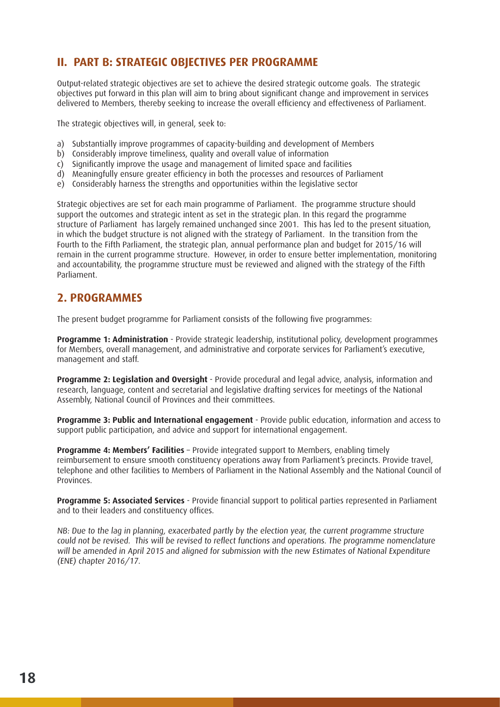# **II. PART B: STRATEGIC OBJECTIVES PER PROGRAMME**

Output-related strategic objectives are set to achieve the desired strategic outcome goals. The strategic objectives put forward in this plan will aim to bring about significant change and improvement in services delivered to Members, thereby seeking to increase the overall efficiency and effectiveness of Parliament.

The strategic objectives will, in general, seek to:

- a) Substantially improve programmes of capacity-building and development of Members
- b) Considerably improve timeliness, quality and overall value of information
- c) Significantly improve the usage and management of limited space and facilities
- d) Meaningfully ensure greater efficiency in both the processes and resources of Parliament
- e) Considerably harness the strengths and opportunities within the legislative sector

Strategic objectives are set for each main programme of Parliament. The programme structure should support the outcomes and strategic intent as set in the strategic plan. In this regard the programme structure of Parliament has largely remained unchanged since 2001. This has led to the present situation, in which the budget structure is not aligned with the strategy of Parliament. In the transition from the Fourth to the Fifth Parliament, the strategic plan, annual performance plan and budget for 2015/16 will remain in the current programme structure. However, in order to ensure better implementation, monitoring and accountability, the programme structure must be reviewed and aligned with the strategy of the Fifth Parliament.

#### **2. PROGRAMMES**

The present budget programme for Parliament consists of the following five programmes:

**Programme 1: Administration** - Provide strategic leadership, institutional policy, development programmes for Members, overall management, and administrative and corporate services for Parliament's executive, management and staff.

**Programme 2: Legislation and Oversight** - Provide procedural and legal advice, analysis, information and research, language, content and secretarial and legislative drafting services for meetings of the National Assembly, National Council of Provinces and their committees.

**Programme 3: Public and International engagement** - Provide public education, information and access to support public participation, and advice and support for international engagement.

**Programme 4: Members' Facilities** – Provide integrated support to Members, enabling timely reimbursement to ensure smooth constituency operations away from Parliament's precincts. Provide travel, telephone and other facilities to Members of Parliament in the National Assembly and the National Council of Provinces.

**Programme 5: Associated Services** - Provide financial support to political parties represented in Parliament and to their leaders and constituency offices.

NB: Due to the lag in planning, exacerbated partly by the election year, the current programme structure could not be revised. This will be revised to reflect functions and operations. The programme nomenclature will be amended in April 2015 and aligned for submission with the new Estimates of National Expenditure (ENE) chapter 2016/17.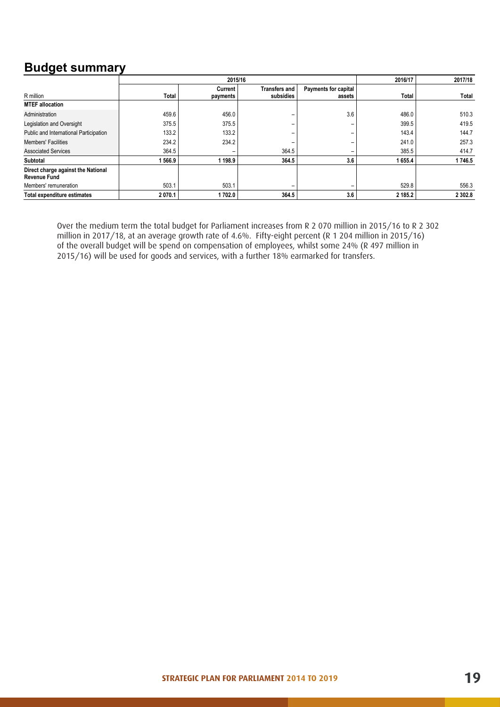# **Budget summary**

|                                                           | 2015/16 |                     |                            | 2016/17                               | 2017/18 |           |
|-----------------------------------------------------------|---------|---------------------|----------------------------|---------------------------------------|---------|-----------|
| R million                                                 | Total   | Current<br>payments | Transfers and<br>subsidies | <b>Payments for capital</b><br>assets | Total   | Total     |
| <b>MTEF allocation</b>                                    |         |                     |                            |                                       |         |           |
| Administration                                            | 459.6   | 456.0               |                            | 3.6                                   | 486.0   | 510.3     |
| Legislation and Oversight                                 | 375.5   | 375.5               | -                          | -                                     | 399.5   | 419.5     |
| Public and International Participation                    | 133.2   | 133.2               | -                          | -                                     | 143.4   | 144.7     |
| <b>Members' Facilities</b>                                | 234.2   | 234.2               | -                          | $\overline{\phantom{0}}$              | 241.0   | 257.3     |
| <b>Associated Services</b>                                | 364.5   | -                   | 364.5                      | $\overline{\phantom{a}}$              | 385.5   | 414.7     |
| Subtotal                                                  | 566.9   | 198.9               | 364.5                      | 3.6                                   | 1655.4  | 1746.5    |
| Direct charge against the National<br><b>Revenue Fund</b> |         |                     |                            |                                       |         |           |
| Members' remuneration                                     | 503.1   | 503.1               | -                          | -                                     | 529.8   | 556.3     |
| Total expenditure estimates                               | 2070.1  | 1702.0              | 364.5                      | 3.6                                   | 2 185.2 | 2 3 0 2.8 |

Over the medium term the total budget for Parliament increases from R 2 070 million in 2015/16 to R 2 302 million in 2017/18, at an average growth rate of 4.6%. Fifty-eight percent (R 1 204 million in 2015/16) of the overall budget will be spend on compensation of employees, whilst some 24% (R 497 million in 2015/16) will be used for goods and services, with a further 18% earmarked for transfers. *and expenditure information at the level of service delivery, where appropriate.*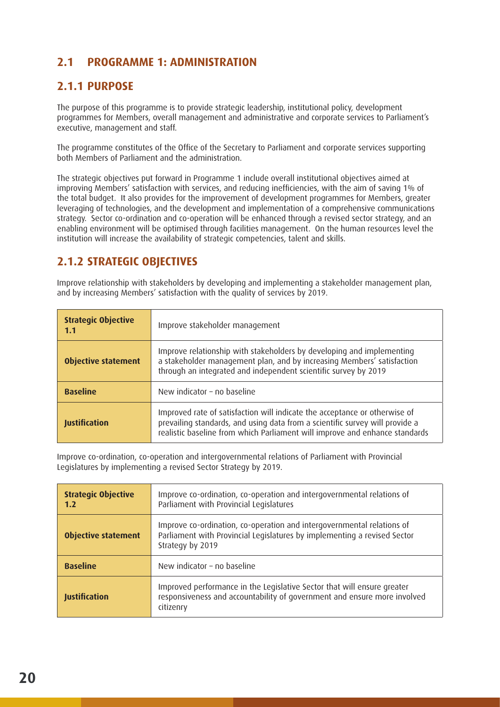# **2.1 PROGRAMME 1: ADMINISTRATION**

# **2.1.1 PURPOSE**

The purpose of this programme is to provide strategic leadership, institutional policy, development programmes for Members, overall management and administrative and corporate services to Parliament's executive, management and staff.

The programme constitutes of the Office of the Secretary to Parliament and corporate services supporting both Members of Parliament and the administration.

The strategic objectives put forward in Programme 1 include overall institutional objectives aimed at improving Members' satisfaction with services, and reducing inefficiencies, with the aim of saving 1% of the total budget. It also provides for the improvement of development programmes for Members, greater leveraging of technologies, and the development and implementation of a comprehensive communications strategy. Sector co-ordination and co-operation will be enhanced through a revised sector strategy, and an enabling environment will be optimised through facilities management. On the human resources level the institution will increase the availability of strategic competencies, talent and skills.

# **2.1.2 STRATEGIC OBJECTIVES**

Improve relationship with stakeholders by developing and implementing a stakeholder management plan, and by increasing Members' satisfaction with the quality of services by 2019.

| <b>Strategic Objective</b><br>1.1 | Improve stakeholder management                                                                                                                                                                                                            |
|-----------------------------------|-------------------------------------------------------------------------------------------------------------------------------------------------------------------------------------------------------------------------------------------|
| <b>Objective statement</b>        | Improve relationship with stakeholders by developing and implementing<br>a stakeholder management plan, and by increasing Members' satisfaction<br>through an integrated and independent scientific survey by 2019                        |
| <b>Baseline</b>                   | New indicator - no baseline                                                                                                                                                                                                               |
| Justification                     | Improved rate of satisfaction will indicate the acceptance or otherwise of<br>prevailing standards, and using data from a scientific survey will provide a<br>realistic baseline from which Parliament will improve and enhance standards |

Improve co-ordination, co-operation and intergovernmental relations of Parliament with Provincial Legislatures by implementing a revised Sector Strategy by 2019.

| <b>Strategic Objective</b><br>1.2 | Improve co-ordination, co-operation and intergovernmental relations of<br>Parliament with Provincial Legislatures                                                      |
|-----------------------------------|------------------------------------------------------------------------------------------------------------------------------------------------------------------------|
| <b>Objective statement</b>        | Improve co-ordination, co-operation and intergovernmental relations of<br>Parliament with Provincial Legislatures by implementing a revised Sector<br>Strategy by 2019 |
| <b>Baseline</b>                   | New indicator - no baseline                                                                                                                                            |
| <b>Justification</b>              | Improved performance in the Legislative Sector that will ensure greater<br>responsiveness and accountability of government and ensure more involved<br>citizenry       |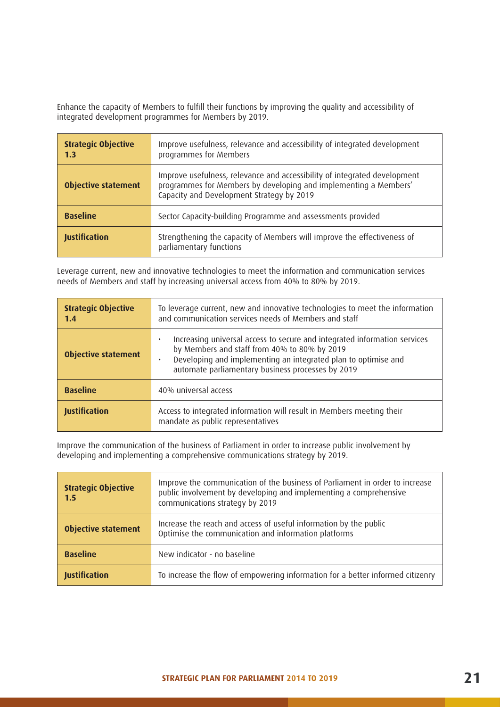Enhance the capacity of Members to fulfill their functions by improving the quality and accessibility of integrated development programmes for Members by 2019.

| <b>Strategic Objective</b><br>1.3                                              | Improve usefulness, relevance and accessibility of integrated development<br>programmes for Members                                                                                        |  |
|--------------------------------------------------------------------------------|--------------------------------------------------------------------------------------------------------------------------------------------------------------------------------------------|--|
| <b>Objective statement</b>                                                     | Improve usefulness, relevance and accessibility of integrated development<br>programmes for Members by developing and implementing a Members'<br>Capacity and Development Strategy by 2019 |  |
| <b>Baseline</b><br>Sector Capacity-building Programme and assessments provided |                                                                                                                                                                                            |  |
| <b>Justification</b>                                                           | Strengthening the capacity of Members will improve the effectiveness of<br>parliamentary functions                                                                                         |  |

Leverage current, new and innovative technologies to meet the information and communication services needs of Members and staff by increasing universal access from 40% to 80% by 2019.

| <b>Strategic Objective</b><br>1.4                                                                                                  | To leverage current, new and innovative technologies to meet the information<br>and communication services needs of Members and staff                                                                                                                         |  |
|------------------------------------------------------------------------------------------------------------------------------------|---------------------------------------------------------------------------------------------------------------------------------------------------------------------------------------------------------------------------------------------------------------|--|
| <b>Objective statement</b>                                                                                                         | Increasing universal access to secure and integrated information services<br>by Members and staff from 40% to 80% by 2019<br>Developing and implementing an integrated plan to optimise and<br>$\bullet$<br>automate parliamentary business processes by 2019 |  |
| <b>Baseline</b>                                                                                                                    | 40% universal access                                                                                                                                                                                                                                          |  |
| Access to integrated information will result in Members meeting their<br><b>Justification</b><br>mandate as public representatives |                                                                                                                                                                                                                                                               |  |

Improve the communication of the business of Parliament in order to increase public involvement by developing and implementing a comprehensive communications strategy by 2019.

| Improve the communication of the business of Parliament in order to increase<br><b>Strategic Objective</b><br>public involvement by developing and implementing a comprehensive<br>1.5<br>communications strategy by 2019 |                                                                                |
|---------------------------------------------------------------------------------------------------------------------------------------------------------------------------------------------------------------------------|--------------------------------------------------------------------------------|
| Increase the reach and access of useful information by the public<br><b>Objective statement</b><br>Optimise the communication and information platforms                                                                   |                                                                                |
| <b>Baseline</b>                                                                                                                                                                                                           | New indicator - no baseline                                                    |
| <b>Justification</b>                                                                                                                                                                                                      | To increase the flow of empowering information for a better informed citizenry |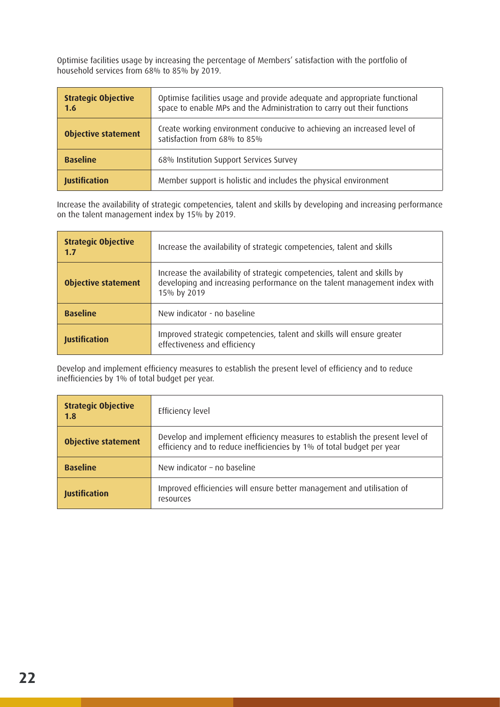Optimise facilities usage by increasing the percentage of Members' satisfaction with the portfolio of household services from 68% to 85% by 2019.

| <b>Strategic Objective</b><br>Optimise facilities usage and provide adequate and appropriate functional<br>space to enable MPs and the Administration to carry out their functions<br>1.6 |                                                                                                         |
|-------------------------------------------------------------------------------------------------------------------------------------------------------------------------------------------|---------------------------------------------------------------------------------------------------------|
| <b>Objective statement</b>                                                                                                                                                                | Create working environment conducive to achieving an increased level of<br>satisfaction from 68% to 85% |
| <b>Baseline</b>                                                                                                                                                                           | 68% Institution Support Services Survey                                                                 |
| <b>Justification</b>                                                                                                                                                                      | Member support is holistic and includes the physical environment                                        |

Increase the availability of strategic competencies, talent and skills by developing and increasing performance on the talent management index by 15% by 2019.

| <b>Strategic Objective</b><br>1.7                                                                                       | Increase the availability of strategic competencies, talent and skills                                                                                                |  |  |
|-------------------------------------------------------------------------------------------------------------------------|-----------------------------------------------------------------------------------------------------------------------------------------------------------------------|--|--|
| <b>Objective statement</b>                                                                                              | Increase the availability of strategic competencies, talent and skills by<br>developing and increasing performance on the talent management index with<br>15% by 2019 |  |  |
| <b>Baseline</b>                                                                                                         | New indicator - no baseline                                                                                                                                           |  |  |
| Improved strategic competencies, talent and skills will ensure greater<br>Justification<br>effectiveness and efficiency |                                                                                                                                                                       |  |  |

Develop and implement efficiency measures to establish the present level of efficiency and to reduce inefficiencies by 1% of total budget per year.

| <b>Strategic Objective</b><br>1.8                                                                           | Efficiency level                                                                                                                                      |
|-------------------------------------------------------------------------------------------------------------|-------------------------------------------------------------------------------------------------------------------------------------------------------|
| <b>Objective statement</b>                                                                                  | Develop and implement efficiency measures to establish the present level of<br>efficiency and to reduce inefficiencies by 1% of total budget per year |
| <b>Baseline</b>                                                                                             | New indicator - no baseline                                                                                                                           |
| Improved efficiencies will ensure better management and utilisation of<br><b>Justification</b><br>resources |                                                                                                                                                       |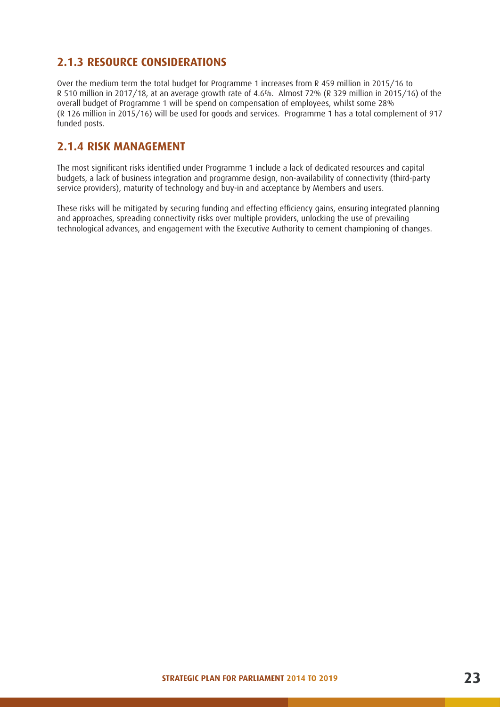# **2.1.3 RESOURCE CONSIDERATIONS**

Over the medium term the total budget for Programme 1 increases from R 459 million in 2015/16 to R 510 million in 2017/18, at an average growth rate of 4.6%. Almost 72% (R 329 million in 2015/16) of the overall budget of Programme 1 will be spend on compensation of employees, whilst some 28% (R 126 million in 2015/16) will be used for goods and services. Programme 1 has a total complement of 917 funded posts.

### **2.1.4 RISK MANAGEMENT**

The most significant risks identified under Programme 1 include a lack of dedicated resources and capital budgets, a lack of business integration and programme design, non-availability of connectivity (third-party service providers), maturity of technology and buy-in and acceptance by Members and users.

These risks will be mitigated by securing funding and effecting efficiency gains, ensuring integrated planning and approaches, spreading connectivity risks over multiple providers, unlocking the use of prevailing technological advances, and engagement with the Executive Authority to cement championing of changes.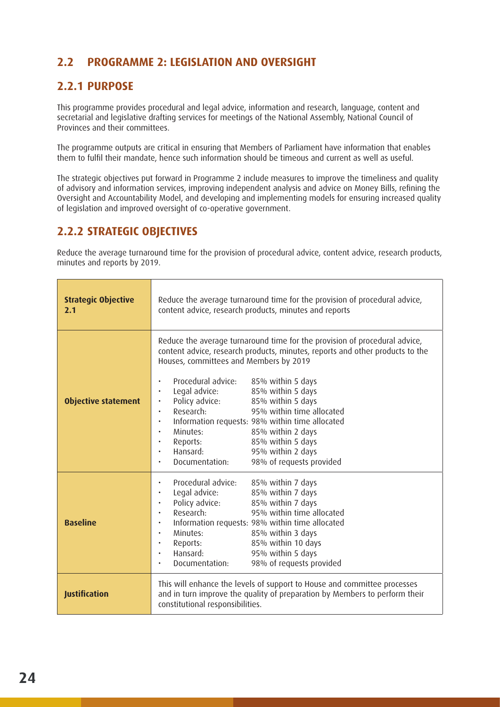# **2.2 PROGRAMME 2: LEGISLATION AND OVERSIGHT**

# **2.2.1 PURPOSE**

This programme provides procedural and legal advice, information and research, language, content and secretarial and legislative drafting services for meetings of the National Assembly, National Council of Provinces and their committees.

The programme outputs are critical in ensuring that Members of Parliament have information that enables them to fulfil their mandate, hence such information should be timeous and current as well as useful.

The strategic objectives put forward in Programme 2 include measures to improve the timeliness and quality of advisory and information services, improving independent analysis and advice on Money Bills, refining the Oversight and Accountability Model, and developing and implementing models for ensuring increased quality of legislation and improved oversight of co-operative government.

### **2.2.2 STRATEGIC OBJECTIVES**

Reduce the average turnaround time for the provision of procedural advice, content advice, research products, minutes and reports by 2019.

| <b>Strategic Objective</b><br>2.1 | Reduce the average turnaround time for the provision of procedural advice,<br>content advice, research products, minutes and reports                                                                                                                                                                                                                                                                                                                                                                                                                                                                               |  |  |
|-----------------------------------|--------------------------------------------------------------------------------------------------------------------------------------------------------------------------------------------------------------------------------------------------------------------------------------------------------------------------------------------------------------------------------------------------------------------------------------------------------------------------------------------------------------------------------------------------------------------------------------------------------------------|--|--|
| <b>Objective statement</b>        | Reduce the average turnaround time for the provision of procedural advice,<br>content advice, research products, minutes, reports and other products to the<br>Houses, committees and Members by 2019<br>Procedural advice:<br>85% within 5 days<br>Legal advice:<br>85% within 5 days<br>$\bullet$<br>Policy advice:<br>85% within 5 days<br>Research:<br>95% within time allocated<br>Information requests: 98% within time allocated<br>85% within 2 days<br>Minutes:<br>$\bullet$<br>85% within 5 days<br>Reports:<br>$\bullet$<br>95% within 2 days<br>Hansard:<br>98% of requests provided<br>Documentation: |  |  |
| <b>Baseline</b>                   | Procedural advice:<br>85% within 7 days<br>Legal advice:<br>85% within 7 days<br>Policy advice:<br>85% within 7 days<br>$\bullet$<br>95% within time allocated<br>Research:<br>$\bullet$<br>Information requests: 98% within time allocated<br>$\bullet$<br>Minutes:<br>85% within 3 days<br>$\bullet$<br>85% within 10 days<br>Reports:<br>Hansard:<br>95% within 5 days<br>98% of requests provided<br>Documentation:                                                                                                                                                                                            |  |  |
| <b>Justification</b>              | This will enhance the levels of support to House and committee processes<br>and in turn improve the quality of preparation by Members to perform their<br>constitutional responsibilities.                                                                                                                                                                                                                                                                                                                                                                                                                         |  |  |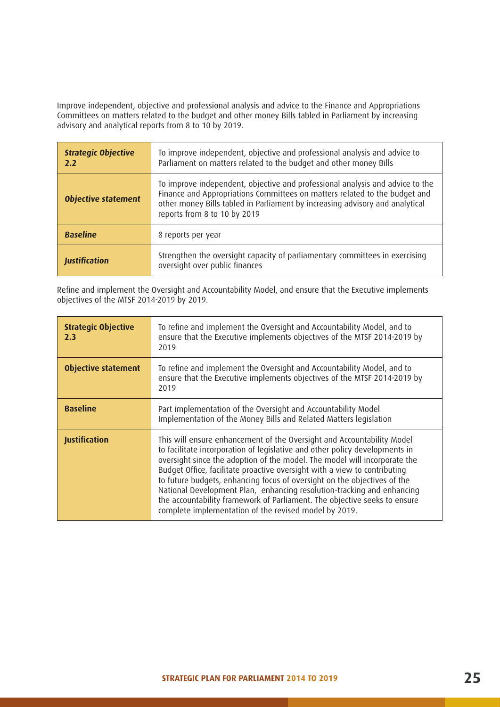Improve independent, objective and professional analysis and advice to the Finance and Appropriations Committees on matters related to the budget and other money Bills tabled in Parliament by increasing advisory and analytical reports from 8 to 10 by 2019.

| <b>Strategic Objective</b><br>2.2 | To improve independent, objective and professional analysis and advice to<br>Parliament on matters related to the budget and other money Bills                                                                                                                              |
|-----------------------------------|-----------------------------------------------------------------------------------------------------------------------------------------------------------------------------------------------------------------------------------------------------------------------------|
| <b>Objective statement</b>        | To improve independent, objective and professional analysis and advice to the<br>Finance and Appropriations Committees on matters related to the budget and<br>other money Bills tabled in Parliament by increasing advisory and analytical<br>reports from 8 to 10 by 2019 |
| <b>Baseline</b>                   | 8 reports per year                                                                                                                                                                                                                                                          |
| <b>Justification</b>              | Strengthen the oversight capacity of parliamentary committees in exercising<br>oversight over public finances                                                                                                                                                               |

Refine and implement the Oversight and Accountability Model, and ensure that the Executive implements objectives of the MTSF 2014-2019 by 2019.

| <b>Strategic Objective</b><br>2.3 | To refine and implement the Oversight and Accountability Model, and to<br>ensure that the Executive implements objectives of the MTSF 2014-2019 by<br>2019                                                                                                                                                                                                                                                                                                                                                                                                                                                  |
|-----------------------------------|-------------------------------------------------------------------------------------------------------------------------------------------------------------------------------------------------------------------------------------------------------------------------------------------------------------------------------------------------------------------------------------------------------------------------------------------------------------------------------------------------------------------------------------------------------------------------------------------------------------|
| <b>Objective statement</b>        | To refine and implement the Oversight and Accountability Model, and to<br>ensure that the Executive implements objectives of the MTSF 2014-2019 by<br>2019                                                                                                                                                                                                                                                                                                                                                                                                                                                  |
| <b>Baseline</b>                   | Part implementation of the Oversight and Accountability Model<br>Implementation of the Money Bills and Related Matters legislation                                                                                                                                                                                                                                                                                                                                                                                                                                                                          |
| <b>Justification</b>              | This will ensure enhancement of the Oversight and Accountability Model<br>to facilitate incorporation of legislative and other policy developments in<br>oversight since the adoption of the model. The model will incorporate the<br>Budget Office, facilitate proactive oversight with a view to contributing<br>to future budgets, enhancing focus of oversight on the objectives of the<br>National Development Plan, enhancing resolution-tracking and enhancing<br>the accountability framework of Parliament. The objective seeks to ensure<br>complete implementation of the revised model by 2019. |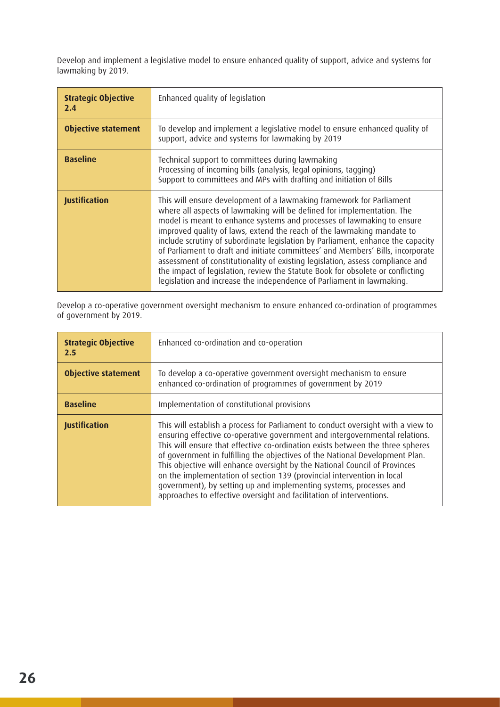Develop and implement a legislative model to ensure enhanced quality of support, advice and systems for lawmaking by 2019.

| <b>Strategic Objective</b><br>2.4 | Enhanced quality of legislation                                                                                                                                                                                                                                                                                                                                                                                                                                                                                                                                                                                                                                                                                       |
|-----------------------------------|-----------------------------------------------------------------------------------------------------------------------------------------------------------------------------------------------------------------------------------------------------------------------------------------------------------------------------------------------------------------------------------------------------------------------------------------------------------------------------------------------------------------------------------------------------------------------------------------------------------------------------------------------------------------------------------------------------------------------|
| <b>Objective statement</b>        | To develop and implement a legislative model to ensure enhanced quality of<br>support, advice and systems for lawmaking by 2019                                                                                                                                                                                                                                                                                                                                                                                                                                                                                                                                                                                       |
| <b>Baseline</b>                   | Technical support to committees during lawmaking<br>Processing of incoming bills (analysis, legal opinions, tagging)<br>Support to committees and MPs with drafting and initiation of Bills                                                                                                                                                                                                                                                                                                                                                                                                                                                                                                                           |
| <b>Justification</b>              | This will ensure development of a lawmaking framework for Parliament<br>where all aspects of lawmaking will be defined for implementation. The<br>model is meant to enhance systems and processes of lawmaking to ensure<br>improved quality of laws, extend the reach of the lawmaking mandate to<br>include scrutiny of subordinate legislation by Parliament, enhance the capacity<br>of Parliament to draft and initiate committees' and Members' Bills, incorporate<br>assessment of constitutionality of existing legislation, assess compliance and<br>the impact of legislation, review the Statute Book for obsolete or conflicting<br>legislation and increase the independence of Parliament in lawmaking. |

Develop a co-operative government oversight mechanism to ensure enhanced co-ordination of programmes of government by 2019.

| <b>Strategic Objective</b><br>2.5 | Enhanced co-ordination and co-operation                                                                                                                                                                                                                                                                                                                                                                                                                                                                                                                                                                                                 |
|-----------------------------------|-----------------------------------------------------------------------------------------------------------------------------------------------------------------------------------------------------------------------------------------------------------------------------------------------------------------------------------------------------------------------------------------------------------------------------------------------------------------------------------------------------------------------------------------------------------------------------------------------------------------------------------------|
| <b>Objective statement</b>        | To develop a co-operative government oversight mechanism to ensure<br>enhanced co-ordination of programmes of government by 2019                                                                                                                                                                                                                                                                                                                                                                                                                                                                                                        |
| <b>Baseline</b>                   | Implementation of constitutional provisions                                                                                                                                                                                                                                                                                                                                                                                                                                                                                                                                                                                             |
| <b>Justification</b>              | This will establish a process for Parliament to conduct oversight with a view to<br>ensuring effective co-operative government and intergovernmental relations.<br>This will ensure that effective co-ordination exists between the three spheres<br>of government in fulfilling the objectives of the National Development Plan.<br>This objective will enhance oversight by the National Council of Provinces<br>on the implementation of section 139 (provincial intervention in local<br>government), by setting up and implementing systems, processes and<br>approaches to effective oversight and facilitation of interventions. |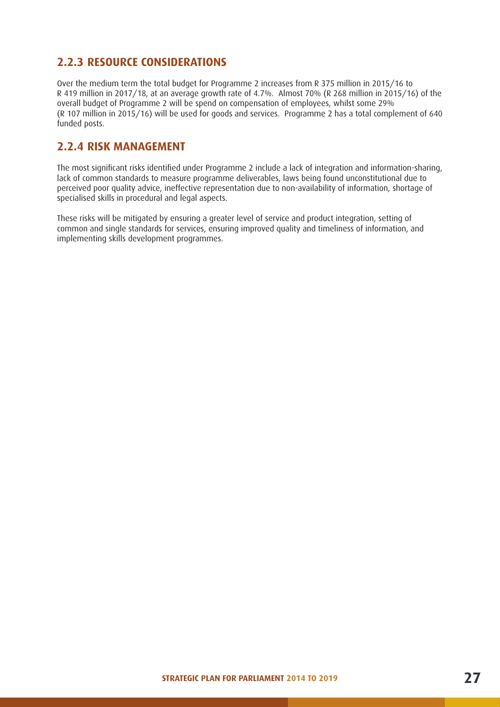# **2.2.3 RESOURCE CONSIDERATIONS**

Over the medium term the total budget for Programme 2 increases from R 375 million in 2015/16 to R 419 million in 2017/18, at an average growth rate of 4.7%. Almost 70% (R 268 million in 2015/16) of the overall budget of Programme 2 will be spend on compensation of employees, whilst some 29% (R 107 million in 2015/16) will be used for goods and services. Programme 2 has a total complement of 640 funded posts.

### **2.2.4 RISK MANAGEMENT**

The most significant risks identified under Programme 2 include a lack of integration and information-sharing, lack of common standards to measure programme deliverables, laws being found unconstitutional due to perceived poor quality advice, ineffective representation due to non-availability of information, shortage of specialised skills in procedural and legal aspects.

These risks will be mitigated by ensuring a greater level of service and product integration, setting of common and single standards for services, ensuring improved quality and timeliness of information, and implementing skills development programmes.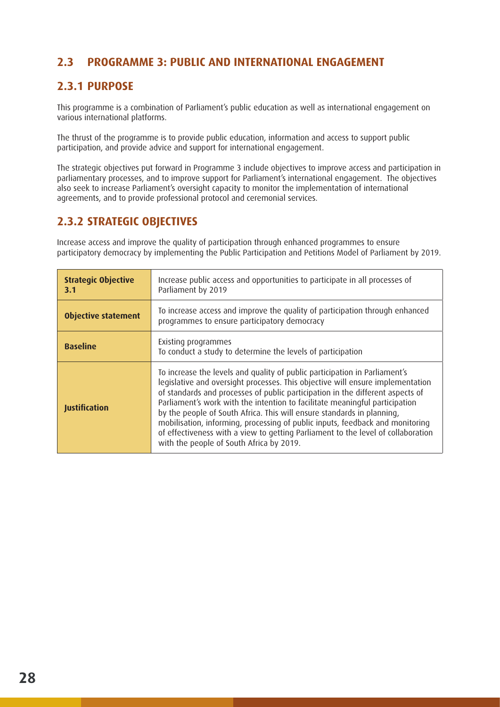# **2.3 PROGRAMME 3: PUBLIC AND INTERNATIONAL ENGAGEMENT**

# **2.3.1 PURPOSE**

This programme is a combination of Parliament's public education as well as international engagement on various international platforms.

The thrust of the programme is to provide public education, information and access to support public participation, and provide advice and support for international engagement.

The strategic objectives put forward in Programme 3 include objectives to improve access and participation in parliamentary processes, and to improve support for Parliament's international engagement. The objectives also seek to increase Parliament's oversight capacity to monitor the implementation of international agreements, and to provide professional protocol and ceremonial services.

# **2.3.2 STRATEGIC OBJECTIVES**

Increase access and improve the quality of participation through enhanced programmes to ensure participatory democracy by implementing the Public Participation and Petitions Model of Parliament by 2019.

| <b>Strategic Objective</b><br>3.1 | Increase public access and opportunities to participate in all processes of<br>Parliament by 2019                                                                                                                                                                                                                                                                                                                                                                                                                                                                                                                        |
|-----------------------------------|--------------------------------------------------------------------------------------------------------------------------------------------------------------------------------------------------------------------------------------------------------------------------------------------------------------------------------------------------------------------------------------------------------------------------------------------------------------------------------------------------------------------------------------------------------------------------------------------------------------------------|
| <b>Objective statement</b>        | To increase access and improve the quality of participation through enhanced<br>programmes to ensure participatory democracy                                                                                                                                                                                                                                                                                                                                                                                                                                                                                             |
| <b>Baseline</b>                   | Existing programmes<br>To conduct a study to determine the levels of participation                                                                                                                                                                                                                                                                                                                                                                                                                                                                                                                                       |
| <b>Justification</b>              | To increase the levels and quality of public participation in Parliament's<br>legislative and oversight processes. This objective will ensure implementation<br>of standards and processes of public participation in the different aspects of<br>Parliament's work with the intention to facilitate meaningful participation<br>by the people of South Africa. This will ensure standards in planning,<br>mobilisation, informing, processing of public inputs, feedback and monitoring<br>of effectiveness with a view to getting Parliament to the level of collaboration<br>with the people of South Africa by 2019. |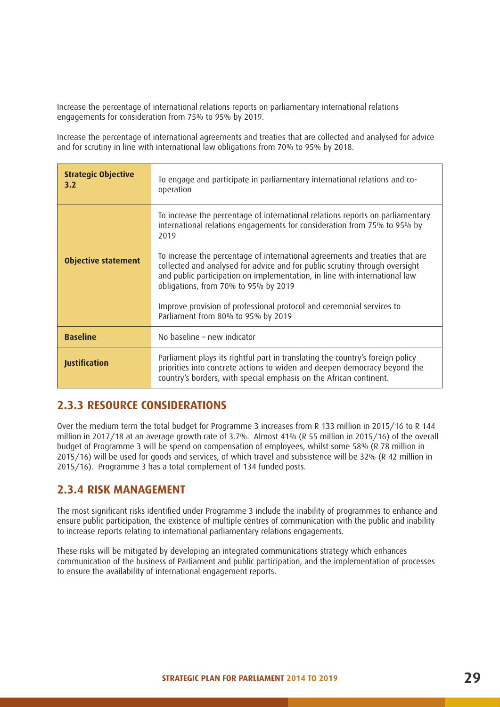Increase the percentage of international relations reports on parliamentary international relations engagements for consideration from 75% to 95% by 2019.

Increase the percentage of international agreements and treaties that are collected and analysed for advice and for scrutiny in line with international law obligations from 70% to 95% by 2018.

| <b>Strategic Objective</b><br>3.2 | To engage and participate in parliamentary international relations and co-<br>operation                                                                                                                                                                                           |
|-----------------------------------|-----------------------------------------------------------------------------------------------------------------------------------------------------------------------------------------------------------------------------------------------------------------------------------|
|                                   | To increase the percentage of international relations reports on parliamentary<br>international relations engagements for consideration from 75% to 95% by<br>2019                                                                                                                |
| <b>Objective statement</b>        | To increase the percentage of international agreements and treaties that are<br>collected and analysed for advice and for public scrutiny through oversight<br>and public participation on implementation, in line with international law<br>obligations, from 70% to 95% by 2019 |
|                                   | Improve provision of professional protocol and ceremonial services to<br>Parliament from 80% to 95% by 2019                                                                                                                                                                       |
| <b>Baseline</b>                   | No baseline - new indicator                                                                                                                                                                                                                                                       |
| <b>Justification</b>              | Parliament plays its rightful part in translating the country's foreign policy<br>priorities into concrete actions to widen and deepen democracy beyond the<br>country's borders, with special emphasis on the African continent.                                                 |

### **2.3.3 RESOURCE CONSIDERATIONS**

Over the medium term the total budget for Programme 3 increases from R 133 million in 2015/16 to R 144 million in 2017/18 at an average growth rate of 3.7%. Almost 41% (R 55 million in 2015/16) of the overall budget of Programme 3 will be spend on compensation of employees, whilst some 58% (R 78 million in 2015/16) will be used for goods and services, of which travel and subsistence will be 32% (R 42 million in 2015/16). Programme 3 has a total complement of 134 funded posts.

### **2.3.4 RISK MANAGEMENT**

The most significant risks identified under Programme 3 include the inability of programmes to enhance and ensure public participation, the existence of multiple centres of communication with the public and inability to increase reports relating to international parliamentary relations engagements.

These risks will be mitigated by developing an integrated communications strategy which enhances communication of the business of Parliament and public participation, and the implementation of processes to ensure the availability of international engagement reports.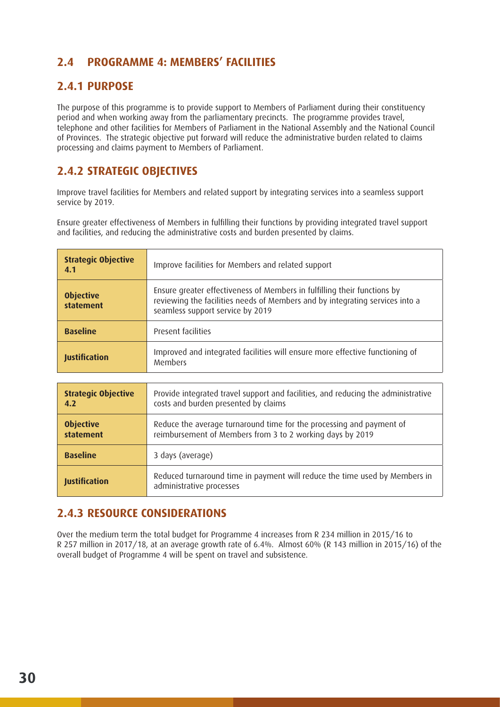# **2.4 PROGRAMME 4: MEMBERS' FACILITIES**

# **2.4.1 PURPOSE**

The purpose of this programme is to provide support to Members of Parliament during their constituency period and when working away from the parliamentary precincts. The programme provides travel, telephone and other facilities for Members of Parliament in the National Assembly and the National Council of Provinces. The strategic objective put forward will reduce the administrative burden related to claims processing and claims payment to Members of Parliament.

# **2.4.2 STRATEGIC OBJECTIVES**

Improve travel facilities for Members and related support by integrating services into a seamless support service by 2019.

Ensure greater effectiveness of Members in fulfilling their functions by providing integrated travel support and facilities, and reducing the administrative costs and burden presented by claims.

| <b>Strategic Objective</b><br>4.1 | Improve facilities for Members and related support                                                                                                                                           |
|-----------------------------------|----------------------------------------------------------------------------------------------------------------------------------------------------------------------------------------------|
| <b>Objective</b><br>statement     | Ensure greater effectiveness of Members in fulfilling their functions by<br>reviewing the facilities needs of Members and by integrating services into a<br>seamless support service by 2019 |
| <b>Baseline</b>                   | Present facilities                                                                                                                                                                           |
| <b>Justification</b>              | Improved and integrated facilities will ensure more effective functioning of<br><b>Members</b>                                                                                               |

| <b>Strategic Objective</b> | Provide integrated travel support and facilities, and reducing the administrative                      |
|----------------------------|--------------------------------------------------------------------------------------------------------|
| 4.2                        | costs and burden presented by claims                                                                   |
| <b>Objective</b>           | Reduce the average turnaround time for the processing and payment of                                   |
| statement                  | reimbursement of Members from 3 to 2 working days by 2019                                              |
| <b>Baseline</b>            | 3 days (average)                                                                                       |
| <b>Justification</b>       | Reduced turnaround time in payment will reduce the time used by Members in<br>administrative processes |

# **2.4.3 RESOURCE CONSIDERATIONS**

Over the medium term the total budget for Programme 4 increases from R 234 million in 2015/16 to R 257 million in 2017/18, at an average growth rate of 6.4%. Almost 60% (R 143 million in 2015/16) of the overall budget of Programme 4 will be spent on travel and subsistence.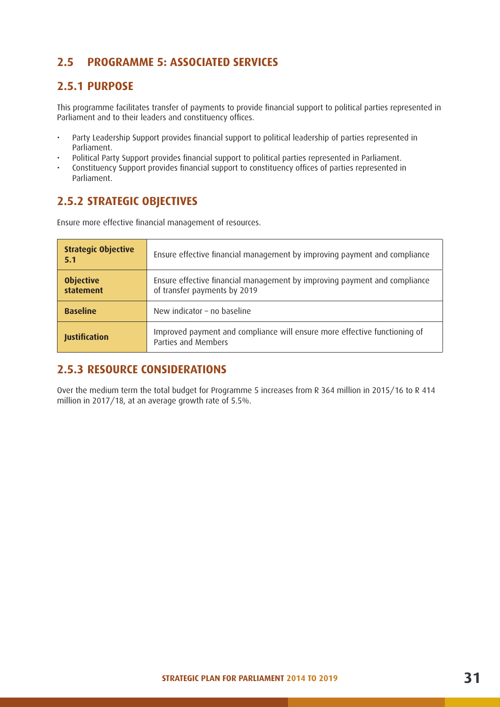# **2.5 PROGRAMME 5: ASSOCIATED SERVICES**

# **2.5.1 PURPOSE**

This programme facilitates transfer of payments to provide financial support to political parties represented in Parliament and to their leaders and constituency offices.

- Party Leadership Support provides financial support to political leadership of parties represented in Parliament.
- Political Party Support provides financial support to political parties represented in Parliament.
- Constituency Support provides financial support to constituency offices of parties represented in Parliament.

# **2.5.2 STRATEGIC OBJECTIVES**

Ensure more effective financial management of resources.

| <b>Strategic Objective</b><br>5.1 | Ensure effective financial management by improving payment and compliance                                 |
|-----------------------------------|-----------------------------------------------------------------------------------------------------------|
| <b>Objective</b><br>statement     | Ensure effective financial management by improving payment and compliance<br>of transfer payments by 2019 |
| <b>Baseline</b>                   | New indicator - no baseline                                                                               |
| <b>Justification</b>              | Improved payment and compliance will ensure more effective functioning of<br>Parties and Members          |

# **2.5.3 RESOURCE CONSIDERATIONS**

Over the medium term the total budget for Programme 5 increases from R 364 million in 2015/16 to R 414 million in 2017/18, at an average growth rate of 5.5%.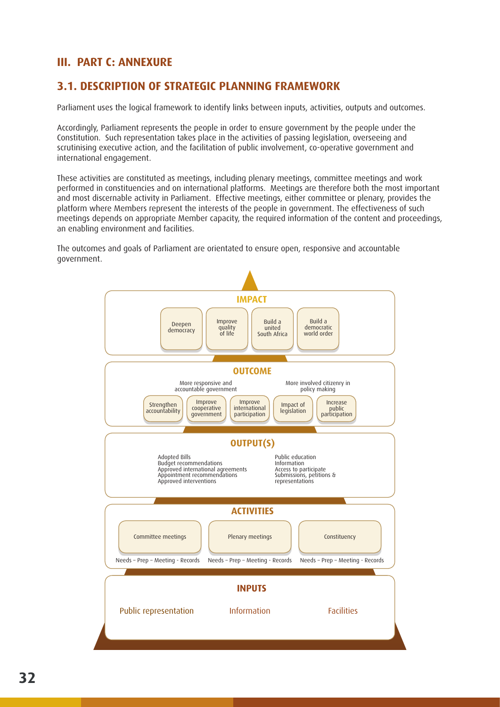# **III. PART C: ANNEXURE**

# **3.1. DESCRIPTION OF STRATEGIC PLANNING FRAMEWORK**

Parliament uses the logical framework to identify links between inputs, activities, outputs and outcomes.

Accordingly, Parliament represents the people in order to ensure government by the people under the Constitution. Such representation takes place in the activities of passing legislation, overseeing and scrutinising executive action, and the facilitation of public involvement, co-operative government and international engagement.

These activities are constituted as meetings, including plenary meetings, committee meetings and work performed in constituencies and on international platforms. Meetings are therefore both the most important and most discernable activity in Parliament. Effective meetings, either committee or plenary, provides the platform where Members represent the interests of the people in government. The effectiveness of such meetings depends on appropriate Member capacity, the required information of the content and proceedings, an enabling environment and facilities.

The outcomes and goals of Parliament are orientated to ensure open, responsive and accountable government.